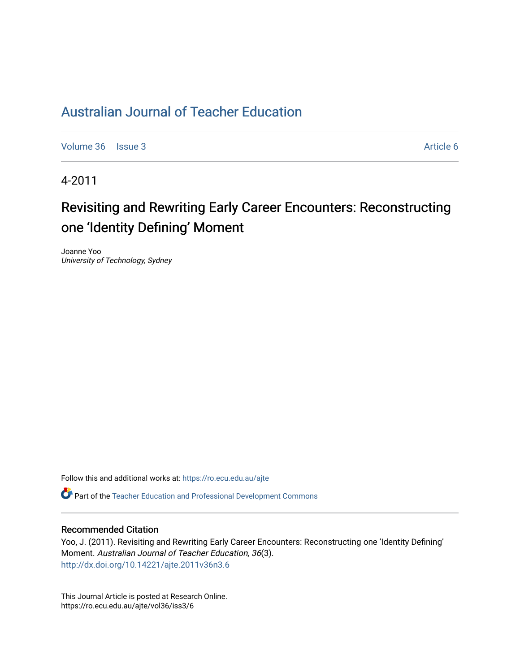# [Australian Journal of Teacher Education](https://ro.ecu.edu.au/ajte)

[Volume 36](https://ro.ecu.edu.au/ajte/vol36) | [Issue 3](https://ro.ecu.edu.au/ajte/vol36/iss3) Article 6

4-2011

# Revisiting and Rewriting Early Career Encounters: Reconstructing one 'Identity Defining' Moment

Joanne Yoo University of Technology, Sydney

Follow this and additional works at: [https://ro.ecu.edu.au/ajte](https://ro.ecu.edu.au/ajte?utm_source=ro.ecu.edu.au%2Fajte%2Fvol36%2Fiss3%2F6&utm_medium=PDF&utm_campaign=PDFCoverPages) 

Part of the [Teacher Education and Professional Development Commons](http://network.bepress.com/hgg/discipline/803?utm_source=ro.ecu.edu.au%2Fajte%2Fvol36%2Fiss3%2F6&utm_medium=PDF&utm_campaign=PDFCoverPages)

#### Recommended Citation

Yoo, J. (2011). Revisiting and Rewriting Early Career Encounters: Reconstructing one 'Identity Defining' Moment. Australian Journal of Teacher Education, 36(3). <http://dx.doi.org/10.14221/ajte.2011v36n3.6>

This Journal Article is posted at Research Online. https://ro.ecu.edu.au/ajte/vol36/iss3/6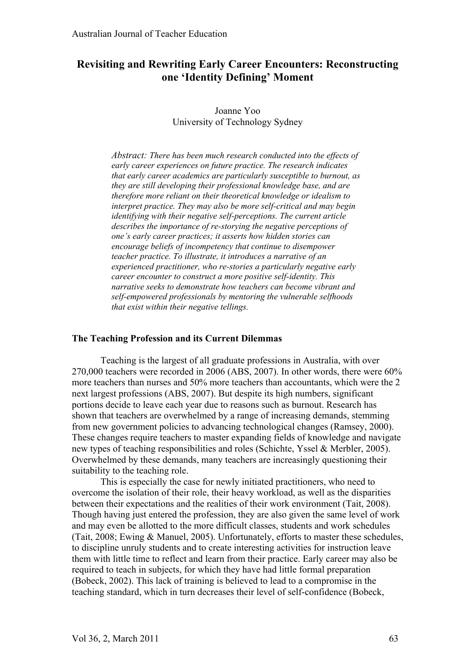# **Revisiting and Rewriting Early Career Encounters: Reconstructing one 'Identity Defining' Moment**

Joanne Yoo University of Technology Sydney

*Abstract: There has been much research conducted into the effects of early career experiences on future practice. The research indicates that early career academics are particularly susceptible to burnout, as they are still developing their professional knowledge base, and are therefore more reliant on their theoretical knowledge or idealism to interpret practice. They may also be more self-critical and may begin identifying with their negative self-perceptions. The current article describes the importance of re-storying the negative perceptions of one's early career practices; it asserts how hidden stories can encourage beliefs of incompetency that continue to disempower teacher practice. To illustrate, it introduces a narrative of an experienced practitioner, who re-stories a particularly negative early career encounter to construct a more positive self-identity. This narrative seeks to demonstrate how teachers can become vibrant and self-empowered professionals by mentoring the vulnerable selfhoods that exist within their negative tellings.*

#### **The Teaching Profession and its Current Dilemmas**

Teaching is the largest of all graduate professions in Australia, with over 270,000 teachers were recorded in 2006 (ABS, 2007). In other words, there were 60% more teachers than nurses and 50% more teachers than accountants, which were the 2 next largest professions (ABS, 2007). But despite its high numbers, significant portions decide to leave each year due to reasons such as burnout. Research has shown that teachers are overwhelmed by a range of increasing demands, stemming from new government policies to advancing technological changes (Ramsey, 2000). These changes require teachers to master expanding fields of knowledge and navigate new types of teaching responsibilities and roles (Schichte, Yssel & Merbler, 2005). Overwhelmed by these demands, many teachers are increasingly questioning their suitability to the teaching role.

This is especially the case for newly initiated practitioners, who need to overcome the isolation of their role, their heavy workload, as well as the disparities between their expectations and the realities of their work environment (Tait, 2008). Though having just entered the profession, they are also given the same level of work and may even be allotted to the more difficult classes, students and work schedules (Tait, 2008; Ewing & Manuel, 2005). Unfortunately, efforts to master these schedules, to discipline unruly students and to create interesting activities for instruction leave them with little time to reflect and learn from their practice. Early career may also be required to teach in subjects, for which they have had little formal preparation (Bobeck, 2002). This lack of training is believed to lead to a compromise in the teaching standard, which in turn decreases their level of self-confidence (Bobeck,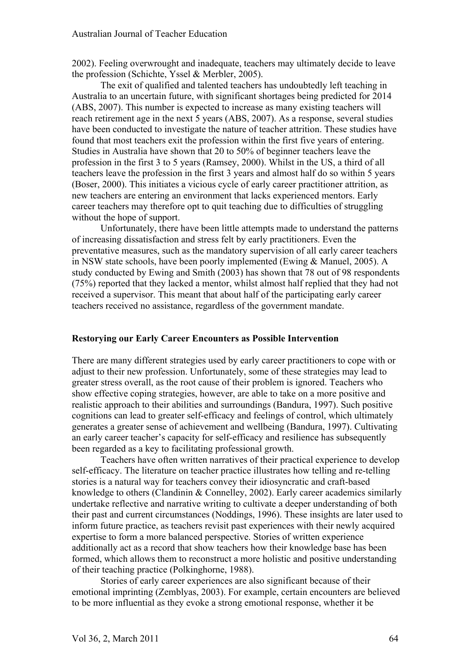2002). Feeling overwrought and inadequate, teachers may ultimately decide to leave the profession (Schichte, Yssel & Merbler, 2005).

The exit of qualified and talented teachers has undoubtedly left teaching in Australia to an uncertain future, with significant shortages being predicted for 2014 (ABS, 2007). This number is expected to increase as many existing teachers will reach retirement age in the next 5 years (ABS, 2007). As a response, several studies have been conducted to investigate the nature of teacher attrition. These studies have found that most teachers exit the profession within the first five years of entering. Studies in Australia have shown that 20 to 50% of beginner teachers leave the profession in the first 3 to 5 years (Ramsey, 2000). Whilst in the US, a third of all teachers leave the profession in the first 3 years and almost half do so within 5 years (Boser, 2000). This initiates a vicious cycle of early career practitioner attrition, as new teachers are entering an environment that lacks experienced mentors. Early career teachers may therefore opt to quit teaching due to difficulties of struggling without the hope of support.

Unfortunately, there have been little attempts made to understand the patterns of increasing dissatisfaction and stress felt by early practitioners. Even the preventative measures, such as the mandatory supervision of all early career teachers in NSW state schools, have been poorly implemented (Ewing & Manuel, 2005). A study conducted by Ewing and Smith (2003) has shown that 78 out of 98 respondents (75%) reported that they lacked a mentor, whilst almost half replied that they had not received a supervisor. This meant that about half of the participating early career teachers received no assistance, regardless of the government mandate.

# **Restorying our Early Career Encounters as Possible Intervention**

There are many different strategies used by early career practitioners to cope with or adjust to their new profession. Unfortunately, some of these strategies may lead to greater stress overall, as the root cause of their problem is ignored. Teachers who show effective coping strategies, however, are able to take on a more positive and realistic approach to their abilities and surroundings (Bandura, 1997). Such positive cognitions can lead to greater self-efficacy and feelings of control, which ultimately generates a greater sense of achievement and wellbeing (Bandura, 1997). Cultivating an early career teacher's capacity for self-efficacy and resilience has subsequently been regarded as a key to facilitating professional growth.

Teachers have often written narratives of their practical experience to develop self-efficacy. The literature on teacher practice illustrates how telling and re-telling stories is a natural way for teachers convey their idiosyncratic and craft-based knowledge to others (Clandinin & Connelley, 2002). Early career academics similarly undertake reflective and narrative writing to cultivate a deeper understanding of both their past and current circumstances (Noddings, 1996). These insights are later used to inform future practice, as teachers revisit past experiences with their newly acquired expertise to form a more balanced perspective. Stories of written experience additionally act as a record that show teachers how their knowledge base has been formed, which allows them to reconstruct a more holistic and positive understanding of their teaching practice (Polkinghorne, 1988).

Stories of early career experiences are also significant because of their emotional imprinting (Zemblyas, 2003). For example, certain encounters are believed to be more influential as they evoke a strong emotional response, whether it be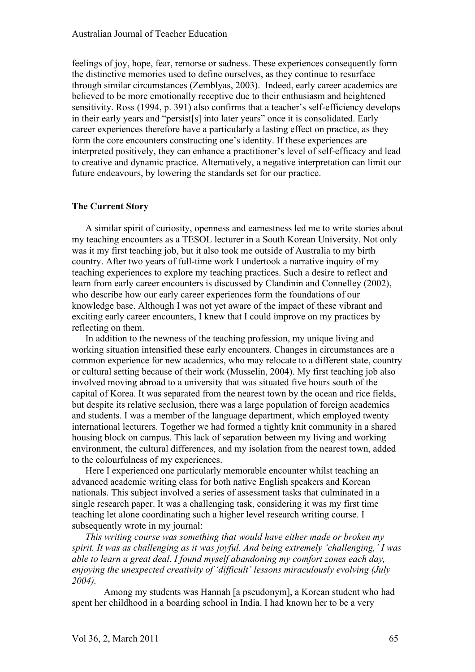feelings of joy, hope, fear, remorse or sadness. These experiences consequently form the distinctive memories used to define ourselves, as they continue to resurface through similar circumstances (Zemblyas, 2003). Indeed, early career academics are believed to be more emotionally receptive due to their enthusiasm and heightened sensitivity. Ross (1994, p. 391) also confirms that a teacher's self-efficiency develops in their early years and "persist[s] into later years" once it is consolidated. Early career experiences therefore have a particularly a lasting effect on practice, as they form the core encounters constructing one's identity. If these experiences are interpreted positively, they can enhance a practitioner's level of self-efficacy and lead to creative and dynamic practice. Alternatively, a negative interpretation can limit our future endeavours, by lowering the standards set for our practice.

#### **The Current Story**

A similar spirit of curiosity, openness and earnestness led me to write stories about my teaching encounters as a TESOL lecturer in a South Korean University. Not only was it my first teaching job, but it also took me outside of Australia to my birth country. After two years of full-time work I undertook a narrative inquiry of my teaching experiences to explore my teaching practices. Such a desire to reflect and learn from early career encounters is discussed by Clandinin and Connelley (2002), who describe how our early career experiences form the foundations of our knowledge base. Although I was not yet aware of the impact of these vibrant and exciting early career encounters, I knew that I could improve on my practices by reflecting on them.

In addition to the newness of the teaching profession, my unique living and working situation intensified these early encounters. Changes in circumstances are a common experience for new academics, who may relocate to a different state, country or cultural setting because of their work (Musselin, 2004). My first teaching job also involved moving abroad to a university that was situated five hours south of the capital of Korea. It was separated from the nearest town by the ocean and rice fields, but despite its relative seclusion, there was a large population of foreign academics and students. I was a member of the language department, which employed twenty international lecturers. Together we had formed a tightly knit community in a shared housing block on campus. This lack of separation between my living and working environment, the cultural differences, and my isolation from the nearest town, added to the colourfulness of my experiences.

Here I experienced one particularly memorable encounter whilst teaching an advanced academic writing class for both native English speakers and Korean nationals. This subject involved a series of assessment tasks that culminated in a single research paper. It was a challenging task, considering it was my first time teaching let alone coordinating such a higher level research writing course. I subsequently wrote in my journal:

*This writing course was something that would have either made or broken my spirit. It was as challenging as it was joyful. And being extremely 'challenging,' I was able to learn a great deal. I found myself abandoning my comfort zones each day, enjoying the unexpected creativity of 'difficult' lessons miraculously evolving (July 2004).* 

Among my students was Hannah [a pseudonym], a Korean student who had spent her childhood in a boarding school in India. I had known her to be a very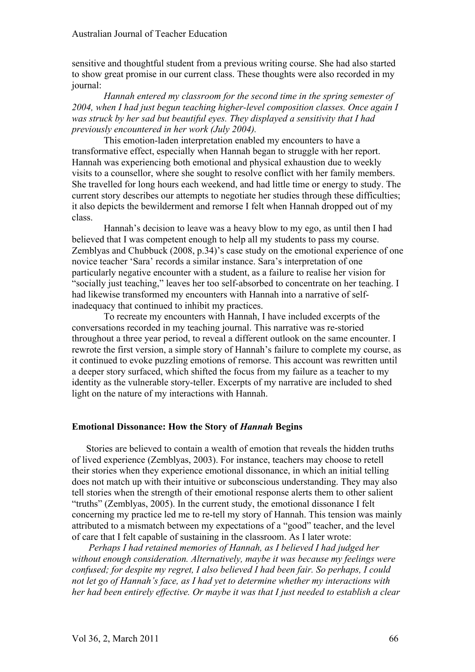#### Australian Journal of Teacher Education

sensitive and thoughtful student from a previous writing course. She had also started to show great promise in our current class. These thoughts were also recorded in my journal:

*Hannah entered my classroom for the second time in the spring semester of 2004, when I had just begun teaching higher-level composition classes. Once again I was struck by her sad but beautiful eyes. They displayed a sensitivity that I had previously encountered in her work (July 2004).*

This emotion-laden interpretation enabled my encounters to have a transformative effect, especially when Hannah began to struggle with her report. Hannah was experiencing both emotional and physical exhaustion due to weekly visits to a counsellor, where she sought to resolve conflict with her family members. She travelled for long hours each weekend, and had little time or energy to study. The current story describes our attempts to negotiate her studies through these difficulties; it also depicts the bewilderment and remorse I felt when Hannah dropped out of my class.

Hannah's decision to leave was a heavy blow to my ego, as until then I had believed that I was competent enough to help all my students to pass my course. Zemblyas and Chubbuck (2008, p.34)'s case study on the emotional experience of one novice teacher 'Sara' records a similar instance. Sara's interpretation of one particularly negative encounter with a student, as a failure to realise her vision for "socially just teaching," leaves her too self-absorbed to concentrate on her teaching. I had likewise transformed my encounters with Hannah into a narrative of selfinadequacy that continued to inhibit my practices.

To recreate my encounters with Hannah, I have included excerpts of the conversations recorded in my teaching journal. This narrative was re-storied throughout a three year period, to reveal a different outlook on the same encounter. I rewrote the first version, a simple story of Hannah's failure to complete my course, as it continued to evoke puzzling emotions of remorse. This account was rewritten until a deeper story surfaced, which shifted the focus from my failure as a teacher to my identity as the vulnerable story-teller. Excerpts of my narrative are included to shed light on the nature of my interactions with Hannah.

#### **Emotional Dissonance: How the Story of** *Hannah* **Begins**

Stories are believed to contain a wealth of emotion that reveals the hidden truths of lived experience (Zemblyas, 2003). For instance, teachers may choose to retell their stories when they experience emotional dissonance, in which an initial telling does not match up with their intuitive or subconscious understanding. They may also tell stories when the strength of their emotional response alerts them to other salient "truths" (Zemblyas, 2005). In the current study, the emotional dissonance I felt concerning my practice led me to re-tell my story of Hannah. This tension was mainly attributed to a mismatch between my expectations of a "good" teacher, and the level of care that I felt capable of sustaining in the classroom. As I later wrote:

*Perhaps I had retained memories of Hannah, as I believed I had judged her without enough consideration. Alternatively, maybe it was because my feelings were confused; for despite my regret, I also believed I had been fair. So perhaps, I could not let go of Hannah's face, as I had yet to determine whether my interactions with her had been entirely effective. Or maybe it was that I just needed to establish a clear*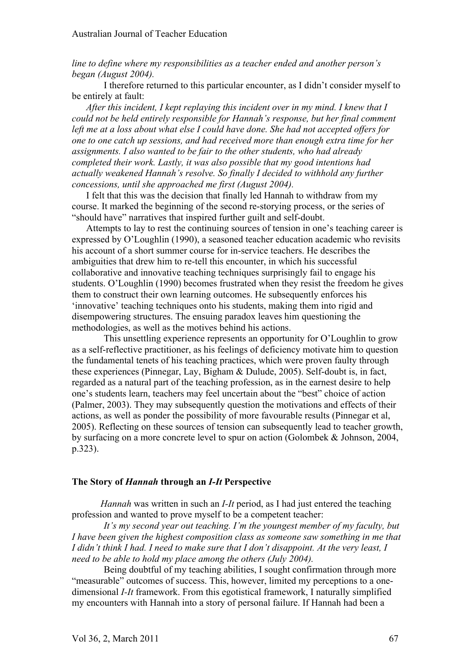*line to define where my responsibilities as a teacher ended and another person's began (August 2004).*

I therefore returned to this particular encounter, as I didn't consider myself to be entirely at fault:

*After this incident, I kept replaying this incident over in my mind. I knew that I could not be held entirely responsible for Hannah's response, but her final comment left me at a loss about what else I could have done. She had not accepted offers for one to one catch up sessions, and had received more than enough extra time for her assignments. I also wanted to be fair to the other students, who had already completed their work. Lastly, it was also possible that my good intentions had actually weakened Hannah's resolve. So finally I decided to withhold any further concessions, until she approached me first (August 2004).*

I felt that this was the decision that finally led Hannah to withdraw from my course. It marked the beginning of the second re-storying process, or the series of "should have" narratives that inspired further guilt and self-doubt.

Attempts to lay to rest the continuing sources of tension in one's teaching career is expressed by O'Loughlin (1990), a seasoned teacher education academic who revisits his account of a short summer course for in-service teachers. He describes the ambiguities that drew him to re-tell this encounter, in which his successful collaborative and innovative teaching techniques surprisingly fail to engage his students. O'Loughlin (1990) becomes frustrated when they resist the freedom he gives them to construct their own learning outcomes. He subsequently enforces his 'innovative' teaching techniques onto his students, making them into rigid and disempowering structures. The ensuing paradox leaves him questioning the methodologies, as well as the motives behind his actions.

This unsettling experience represents an opportunity for O'Loughlin to grow as a self-reflective practitioner, as his feelings of deficiency motivate him to question the fundamental tenets of his teaching practices, which were proven faulty through these experiences (Pinnegar, Lay, Bigham & Dulude, 2005). Self-doubt is, in fact, regarded as a natural part of the teaching profession, as in the earnest desire to help one's students learn, teachers may feel uncertain about the "best" choice of action (Palmer, 2003). They may subsequently question the motivations and effects of their actions, as well as ponder the possibility of more favourable results (Pinnegar et al, 2005). Reflecting on these sources of tension can subsequently lead to teacher growth, by surfacing on a more concrete level to spur on action (Golombek & Johnson, 2004, p.323).

#### **The Story of** *Hannah* **through an** *I-It* **Perspective**

*Hannah* was written in such an *I-It* period, as I had just entered the teaching profession and wanted to prove myself to be a competent teacher:

*It's my second year out teaching. I'm the youngest member of my faculty, but I have been given the highest composition class as someone saw something in me that I didn't think I had. I need to make sure that I don't disappoint. At the very least, I need to be able to hold my place among the others (July 2004).*

Being doubtful of my teaching abilities, I sought confirmation through more "measurable" outcomes of success. This, however, limited my perceptions to a onedimensional *I-It* framework. From this egotistical framework, I naturally simplified my encounters with Hannah into a story of personal failure. If Hannah had been a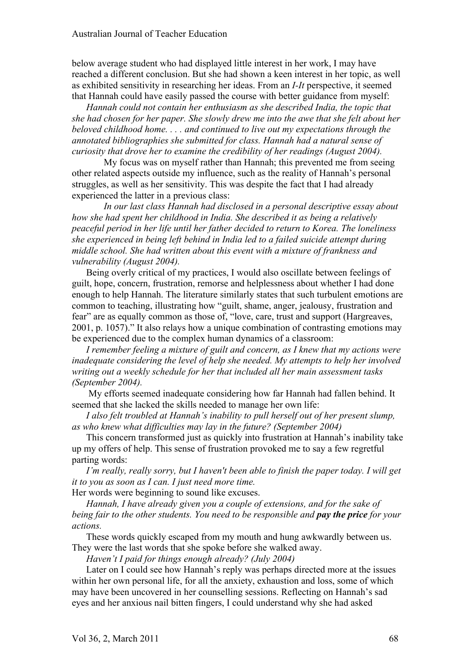below average student who had displayed little interest in her work, I may have reached a different conclusion. But she had shown a keen interest in her topic, as well as exhibited sensitivity in researching her ideas. From an *I-It* perspective, it seemed that Hannah could have easily passed the course with better guidance from myself:

*Hannah could not contain her enthusiasm as she described India, the topic that she had chosen for her paper. She slowly drew me into the awe that she felt about her beloved childhood home. . . . and continued to live out my expectations through the annotated bibliographies she submitted for class. Hannah had a natural sense of curiosity that drove her to examine the credibility of her readings (August 2004).* 

My focus was on myself rather than Hannah; this prevented me from seeing other related aspects outside my influence, such as the reality of Hannah's personal struggles, as well as her sensitivity. This was despite the fact that I had already experienced the latter in a previous class:

*In our last class Hannah had disclosed in a personal descriptive essay about how she had spent her childhood in India. She described it as being a relatively peaceful period in her life until her father decided to return to Korea. The loneliness she experienced in being left behind in India led to a failed suicide attempt during middle school. She had written about this event with a mixture of frankness and vulnerability (August 2004).*

Being overly critical of my practices, I would also oscillate between feelings of guilt, hope, concern, frustration, remorse and helplessness about whether I had done enough to help Hannah. The literature similarly states that such turbulent emotions are common to teaching, illustrating how "guilt, shame, anger, jealousy, frustration and fear" are as equally common as those of, "love, care, trust and support (Hargreaves, 2001, p. 1057)." It also relays how a unique combination of contrasting emotions may be experienced due to the complex human dynamics of a classroom:

*I remember feeling a mixture of guilt and concern, as I knew that my actions were inadequate considering the level of help she needed. My attempts to help her involved writing out a weekly schedule for her that included all her main assessment tasks (September 2004).* 

 My efforts seemed inadequate considering how far Hannah had fallen behind. It seemed that she lacked the skills needed to manage her own life:

*I also felt troubled at Hannah's inability to pull herself out of her present slump, as who knew what difficulties may lay in the future? (September 2004)*

This concern transformed just as quickly into frustration at Hannah's inability take up my offers of help. This sense of frustration provoked me to say a few regretful parting words:

*I'm really, really sorry, but I haven't been able to finish the paper today. I will get it to you as soon as I can. I just need more time.*

Her words were beginning to sound like excuses.

*Hannah, I have already given you a couple of extensions, and for the sake of being fair to the other students. You need to be responsible and pay the price for your actions.*

These words quickly escaped from my mouth and hung awkwardly between us. They were the last words that she spoke before she walked away.

*Haven't I paid for things enough already? (July 2004)*

Later on I could see how Hannah's reply was perhaps directed more at the issues within her own personal life, for all the anxiety, exhaustion and loss, some of which may have been uncovered in her counselling sessions. Reflecting on Hannah's sad eyes and her anxious nail bitten fingers, I could understand why she had asked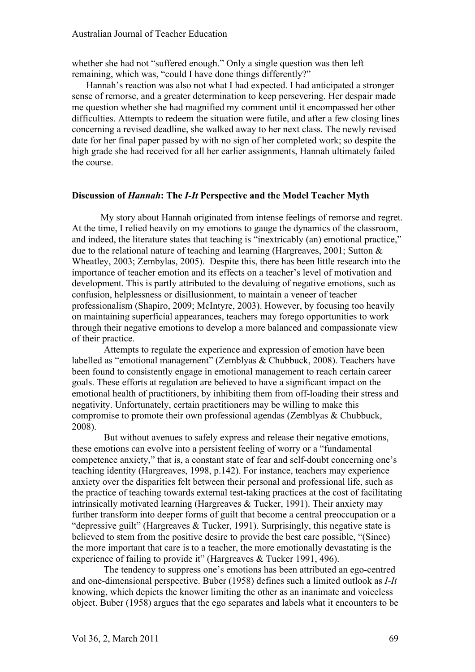whether she had not "suffered enough." Only a single question was then left remaining, which was, "could I have done things differently?"

Hannah's reaction was also not what I had expected. I had anticipated a stronger sense of remorse, and a greater determination to keep persevering. Her despair made me question whether she had magnified my comment until it encompassed her other difficulties. Attempts to redeem the situation were futile, and after a few closing lines concerning a revised deadline, she walked away to her next class. The newly revised date for her final paper passed by with no sign of her completed work; so despite the high grade she had received for all her earlier assignments, Hannah ultimately failed the course.

#### **Discussion of** *Hannah***: The** *I-It* **Perspective and the Model Teacher Myth**

My story about Hannah originated from intense feelings of remorse and regret. At the time, I relied heavily on my emotions to gauge the dynamics of the classroom, and indeed, the literature states that teaching is "inextricably (an) emotional practice," due to the relational nature of teaching and learning (Hargreaves, 2001; Sutton & Wheatley, 2003; Zembylas, 2005). Despite this, there has been little research into the importance of teacher emotion and its effects on a teacher's level of motivation and development. This is partly attributed to the devaluing of negative emotions, such as confusion, helplessness or disillusionment, to maintain a veneer of teacher professionalism (Shapiro, 2009; McIntyre, 2003). However, by focusing too heavily on maintaining superficial appearances, teachers may forego opportunities to work through their negative emotions to develop a more balanced and compassionate view of their practice.

Attempts to regulate the experience and expression of emotion have been labelled as "emotional management" (Zemblyas & Chubbuck, 2008). Teachers have been found to consistently engage in emotional management to reach certain career goals. These efforts at regulation are believed to have a significant impact on the emotional health of practitioners, by inhibiting them from off-loading their stress and negativity. Unfortunately, certain practitioners may be willing to make this compromise to promote their own professional agendas (Zemblyas & Chubbuck, 2008).

But without avenues to safely express and release their negative emotions, these emotions can evolve into a persistent feeling of worry or a "fundamental competence anxiety," that is, a constant state of fear and self-doubt concerning one's teaching identity (Hargreaves, 1998, p.142). For instance, teachers may experience anxiety over the disparities felt between their personal and professional life, such as the practice of teaching towards external test-taking practices at the cost of facilitating intrinsically motivated learning (Hargreaves & Tucker, 1991). Their anxiety may further transform into deeper forms of guilt that become a central preoccupation or a "depressive guilt" (Hargreaves & Tucker, 1991). Surprisingly, this negative state is believed to stem from the positive desire to provide the best care possible, "(Since) the more important that care is to a teacher, the more emotionally devastating is the experience of failing to provide it" (Hargreaves & Tucker 1991, 496).

The tendency to suppress one's emotions has been attributed an ego-centred and one-dimensional perspective. Buber (1958) defines such a limited outlook as *I-It* knowing, which depicts the knower limiting the other as an inanimate and voiceless object. Buber (1958) argues that the ego separates and labels what it encounters to be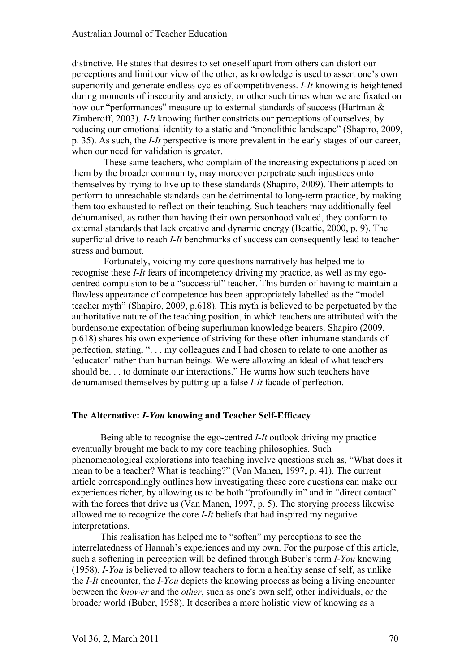distinctive. He states that desires to set oneself apart from others can distort our perceptions and limit our view of the other, as knowledge is used to assert one's own superiority and generate endless cycles of competitiveness. *I-It* knowing is heightened during moments of insecurity and anxiety, or other such times when we are fixated on how our "performances" measure up to external standards of success (Hartman  $\&$ Zimberoff, 2003). *I-It* knowing further constricts our perceptions of ourselves, by reducing our emotional identity to a static and "monolithic landscape" (Shapiro, 2009, p. 35). As such, the *I-It* perspective is more prevalent in the early stages of our career, when our need for validation is greater.

These same teachers, who complain of the increasing expectations placed on them by the broader community, may moreover perpetrate such injustices onto themselves by trying to live up to these standards (Shapiro, 2009). Their attempts to perform to unreachable standards can be detrimental to long-term practice, by making them too exhausted to reflect on their teaching. Such teachers may additionally feel dehumanised, as rather than having their own personhood valued, they conform to external standards that lack creative and dynamic energy (Beattie, 2000, p. 9). The superficial drive to reach *I-It* benchmarks of success can consequently lead to teacher stress and burnout.

Fortunately, voicing my core questions narratively has helped me to recognise these *I-It* fears of incompetency driving my practice, as well as my egocentred compulsion to be a "successful" teacher. This burden of having to maintain a flawless appearance of competence has been appropriately labelled as the "model teacher myth" (Shapiro, 2009, p.618). This myth is believed to be perpetuated by the authoritative nature of the teaching position, in which teachers are attributed with the burdensome expectation of being superhuman knowledge bearers. Shapiro (2009, p.618) shares his own experience of striving for these often inhumane standards of perfection, stating, ". . . my colleagues and I had chosen to relate to one another as 'educator' rather than human beings. We were allowing an ideal of what teachers should be. . . to dominate our interactions." He warns how such teachers have dehumanised themselves by putting up a false *I-It* facade of perfection.

# **The Alternative:** *I-You* **knowing and Teacher Self-Efficacy**

Being able to recognise the ego-centred *I-It* outlook driving my practice eventually brought me back to my core teaching philosophies. Such phenomenological explorations into teaching involve questions such as, "What does it mean to be a teacher? What is teaching?" (Van Manen, 1997, p. 41). The current article correspondingly outlines how investigating these core questions can make our experiences richer, by allowing us to be both "profoundly in" and in "direct contact" with the forces that drive us (Van Manen, 1997, p. 5). The storying process likewise allowed me to recognize the core *I-It* beliefs that had inspired my negative interpretations.

This realisation has helped me to "soften" my perceptions to see the interrelatedness of Hannah's experiences and my own. For the purpose of this article, such a softening in perception will be defined through Buber's term *I-You* knowing (1958). *I-You* is believed to allow teachers to form a healthy sense of self, as unlike the *I-It* encounter, the *I-You* depicts the knowing process as being a living encounter between the *knower* and the *other*, such as one's own self, other individuals, or the broader world (Buber, 1958). It describes a more holistic view of knowing as a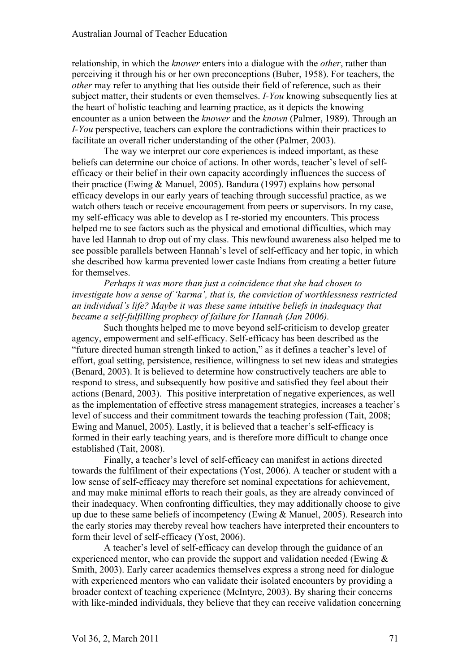relationship, in which the *knower* enters into a dialogue with the *other*, rather than perceiving it through his or her own preconceptions (Buber, 1958). For teachers, the *other* may refer to anything that lies outside their field of reference, such as their subject matter, their students or even themselves. *I-You* knowing subsequently lies at the heart of holistic teaching and learning practice, as it depicts the knowing encounter as a union between the *knower* and the *known* (Palmer, 1989). Through an *I-You* perspective, teachers can explore the contradictions within their practices to facilitate an overall richer understanding of the other (Palmer, 2003).

The way we interpret our core experiences is indeed important, as these beliefs can determine our choice of actions. In other words, teacher's level of selfefficacy or their belief in their own capacity accordingly influences the success of their practice (Ewing & Manuel, 2005). Bandura (1997) explains how personal efficacy develops in our early years of teaching through successful practice, as we watch others teach or receive encouragement from peers or supervisors. In my case, my self-efficacy was able to develop as I re-storied my encounters. This process helped me to see factors such as the physical and emotional difficulties, which may have led Hannah to drop out of my class. This newfound awareness also helped me to see possible parallels between Hannah's level of self-efficacy and her topic, in which she described how karma prevented lower caste Indians from creating a better future for themselves.

*Perhaps it was more than just a coincidence that she had chosen to investigate how a sense of 'karma', that is, the conviction of worthlessness restricted an individual's life? Maybe it was these same intuitive beliefs in inadequacy that became a self-fulfilling prophecy of failure for Hannah (Jan 2006).*

Such thoughts helped me to move beyond self-criticism to develop greater agency, empowerment and self-efficacy. Self-efficacy has been described as the "future directed human strength linked to action," as it defines a teacher's level of effort, goal setting, persistence, resilience, willingness to set new ideas and strategies (Benard, 2003). It is believed to determine how constructively teachers are able to respond to stress, and subsequently how positive and satisfied they feel about their actions (Benard, 2003). This positive interpretation of negative experiences, as well as the implementation of effective stress management strategies, increases a teacher's level of success and their commitment towards the teaching profession (Tait, 2008; Ewing and Manuel, 2005). Lastly, it is believed that a teacher's self-efficacy is formed in their early teaching years, and is therefore more difficult to change once established (Tait, 2008).

Finally, a teacher's level of self-efficacy can manifest in actions directed towards the fulfilment of their expectations (Yost, 2006). A teacher or student with a low sense of self-efficacy may therefore set nominal expectations for achievement, and may make minimal efforts to reach their goals, as they are already convinced of their inadequacy. When confronting difficulties, they may additionally choose to give up due to these same beliefs of incompetency (Ewing & Manuel, 2005). Research into the early stories may thereby reveal how teachers have interpreted their encounters to form their level of self-efficacy (Yost, 2006).

A teacher's level of self-efficacy can develop through the guidance of an experienced mentor, who can provide the support and validation needed (Ewing & Smith, 2003). Early career academics themselves express a strong need for dialogue with experienced mentors who can validate their isolated encounters by providing a broader context of teaching experience (McIntyre, 2003). By sharing their concerns with like-minded individuals, they believe that they can receive validation concerning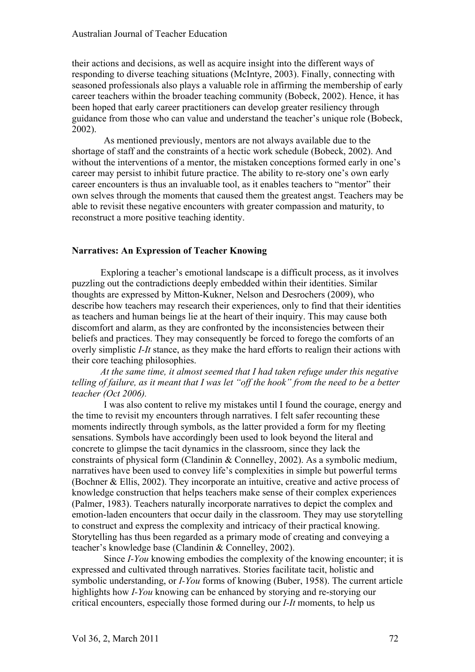their actions and decisions, as well as acquire insight into the different ways of responding to diverse teaching situations (McIntyre, 2003). Finally, connecting with seasoned professionals also plays a valuable role in affirming the membership of early career teachers within the broader teaching community (Bobeck, 2002). Hence, it has been hoped that early career practitioners can develop greater resiliency through guidance from those who can value and understand the teacher's unique role (Bobeck, 2002).

As mentioned previously, mentors are not always available due to the shortage of staff and the constraints of a hectic work schedule (Bobeck, 2002). And without the interventions of a mentor, the mistaken conceptions formed early in one's career may persist to inhibit future practice. The ability to re-story one's own early career encounters is thus an invaluable tool, as it enables teachers to "mentor" their own selves through the moments that caused them the greatest angst. Teachers may be able to revisit these negative encounters with greater compassion and maturity, to reconstruct a more positive teaching identity.

### **Narratives: An Expression of Teacher Knowing**

Exploring a teacher's emotional landscape is a difficult process, as it involves puzzling out the contradictions deeply embedded within their identities. Similar thoughts are expressed by Mitton-Kukner, Nelson and Desrochers (2009), who describe how teachers may research their experiences, only to find that their identities as teachers and human beings lie at the heart of their inquiry. This may cause both discomfort and alarm, as they are confronted by the inconsistencies between their beliefs and practices. They may consequently be forced to forego the comforts of an overly simplistic *I-It* stance, as they make the hard efforts to realign their actions with their core teaching philosophies.

*At the same time, it almost seemed that I had taken refuge under this negative telling of failure, as it meant that I was let "off the hook" from the need to be a better teacher (Oct 2006).*

I was also content to relive my mistakes until I found the courage, energy and the time to revisit my encounters through narratives. I felt safer recounting these moments indirectly through symbols, as the latter provided a form for my fleeting sensations. Symbols have accordingly been used to look beyond the literal and concrete to glimpse the tacit dynamics in the classroom, since they lack the constraints of physical form (Clandinin & Connelley, 2002). As a symbolic medium, narratives have been used to convey life's complexities in simple but powerful terms (Bochner & Ellis, 2002). They incorporate an intuitive, creative and active process of knowledge construction that helps teachers make sense of their complex experiences (Palmer, 1983). Teachers naturally incorporate narratives to depict the complex and emotion-laden encounters that occur daily in the classroom. They may use storytelling to construct and express the complexity and intricacy of their practical knowing. Storytelling has thus been regarded as a primary mode of creating and conveying a teacher's knowledge base (Clandinin & Connelley, 2002).

Since *I-You* knowing embodies the complexity of the knowing encounter; it is expressed and cultivated through narratives. Stories facilitate tacit, holistic and symbolic understanding, or *I-You* forms of knowing (Buber, 1958). The current article highlights how *I-You* knowing can be enhanced by storying and re-storying our critical encounters, especially those formed during our *I-It* moments, to help us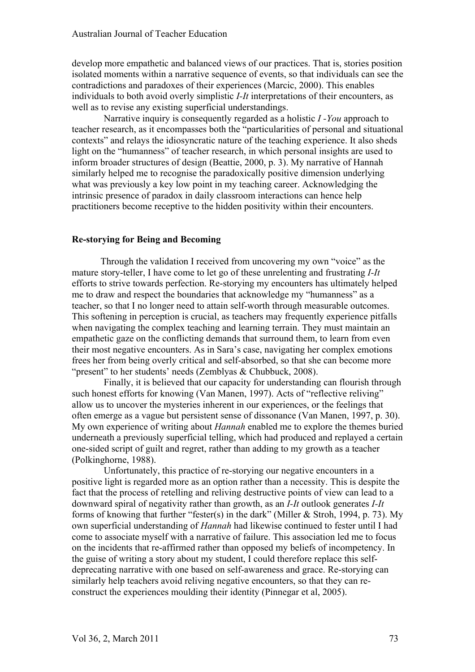develop more empathetic and balanced views of our practices. That is, stories position isolated moments within a narrative sequence of events, so that individuals can see the contradictions and paradoxes of their experiences (Marcic, 2000). This enables individuals to both avoid overly simplistic *I-It* interpretations of their encounters, as well as to revise any existing superficial understandings.

Narrative inquiry is consequently regarded as a holistic *I -You* approach to teacher research, as it encompasses both the "particularities of personal and situational contexts" and relays the idiosyncratic nature of the teaching experience. It also sheds light on the "humanness" of teacher research, in which personal insights are used to inform broader structures of design (Beattie, 2000, p. 3). My narrative of Hannah similarly helped me to recognise the paradoxically positive dimension underlying what was previously a key low point in my teaching career. Acknowledging the intrinsic presence of paradox in daily classroom interactions can hence help practitioners become receptive to the hidden positivity within their encounters.

# **Re-storying for Being and Becoming**

Through the validation I received from uncovering my own "voice" as the mature story-teller, I have come to let go of these unrelenting and frustrating *I-It* efforts to strive towards perfection. Re-storying my encounters has ultimately helped me to draw and respect the boundaries that acknowledge my "humanness" as a teacher, so that I no longer need to attain self-worth through measurable outcomes. This softening in perception is crucial, as teachers may frequently experience pitfalls when navigating the complex teaching and learning terrain. They must maintain an empathetic gaze on the conflicting demands that surround them, to learn from even their most negative encounters. As in Sara's case, navigating her complex emotions frees her from being overly critical and self-absorbed, so that she can become more "present" to her students' needs (Zemblyas & Chubbuck, 2008).

Finally, it is believed that our capacity for understanding can flourish through such honest efforts for knowing (Van Manen, 1997). Acts of "reflective reliving" allow us to uncover the mysteries inherent in our experiences, or the feelings that often emerge as a vague but persistent sense of dissonance (Van Manen, 1997, p. 30). My own experience of writing about *Hannah* enabled me to explore the themes buried underneath a previously superficial telling, which had produced and replayed a certain one-sided script of guilt and regret, rather than adding to my growth as a teacher (Polkinghorne, 1988).

Unfortunately, this practice of re-storying our negative encounters in a positive light is regarded more as an option rather than a necessity. This is despite the fact that the process of retelling and reliving destructive points of view can lead to a downward spiral of negativity rather than growth, as an *I-It* outlook generates *I-It* forms of knowing that further "fester(s) in the dark" (Miller & Stroh, 1994, p. 73). My own superficial understanding of *Hannah* had likewise continued to fester until I had come to associate myself with a narrative of failure. This association led me to focus on the incidents that re-affirmed rather than opposed my beliefs of incompetency. In the guise of writing a story about my student, I could therefore replace this selfdeprecating narrative with one based on self-awareness and grace. Re-storying can similarly help teachers avoid reliving negative encounters, so that they can reconstruct the experiences moulding their identity (Pinnegar et al, 2005).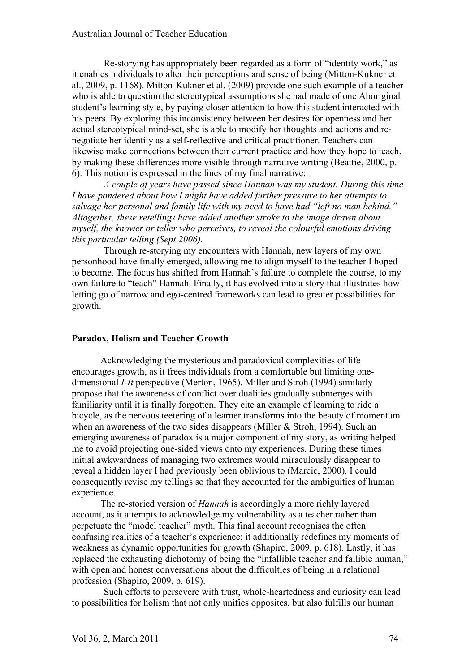Re-storying has appropriately been regarded as a form of "identity work," as it enables individuals to alter their perceptions and sense of being (Mitton-Kukner et al., 2009, p. 1168). Mitton-Kukner et al. (2009) provide one such example of a teacher who is able to question the stereotypical assumptions she had made of one Aboriginal student's learning style, by paying closer attention to how this student interacted with his peers. By exploring this inconsistency between her desires for openness and her actual stereotypical mind-set, she is able to modify her thoughts and actions and renegotiate her identity as a self-reflective and critical practitioner. Teachers can likewise make connections between their current practice and how they hope to teach, by making these differences more visible through narrative writing (Beattie, 2000, p. 6). This notion is expressed in the lines of my final narrative:

*A couple of years have passed since Hannah was my student. During this time I have pondered about how I might have added further pressure to her attempts to salvage her personal and family life with my need to have had "left no man behind." Altogether, these retellings have added another stroke to the image drawn about myself, the knower or teller who perceives, to reveal the colourful emotions driving this particular telling (Sept 2006).* 

Through re-storying my encounters with Hannah, new layers of my own personhood have finally emerged, allowing me to align myself to the teacher I hoped to become. The focus has shifted from Hannah's failure to complete the course, to my own failure to "teach" Hannah. Finally, it has evolved into a story that illustrates how letting go of narrow and ego-centred frameworks can lead to greater possibilities for growth.

### **Paradox, Holism and Teacher Growth**

Acknowledging the mysterious and paradoxical complexities of life encourages growth, as it frees individuals from a comfortable but limiting onedimensional *I-It* perspective (Merton, 1965). Miller and Stroh (1994) similarly propose that the awareness of conflict over dualities gradually submerges with familiarity until it is finally forgotten. They cite an example of learning to ride a bicycle, as the nervous teetering of a learner transforms into the beauty of momentum when an awareness of the two sides disappears (Miller & Stroh, 1994). Such an emerging awareness of paradox is a major component of my story, as writing helped me to avoid projecting one-sided views onto my experiences. During these times initial awkwardness of managing two extremes would miraculously disappear to reveal a hidden layer I had previously been oblivious to (Marcic, 2000). I could consequently revise my tellings so that they accounted for the ambiguities of human experience.

The re-storied version of *Hannah* is accordingly a more richly layered account, as it attempts to acknowledge my vulnerability as a teacher rather than perpetuate the "model teacher" myth. This final account recognises the often confusing realities of a teacher's experience; it additionally redefines my moments of weakness as dynamic opportunities for growth (Shapiro, 2009, p. 618). Lastly, it has replaced the exhausting dichotomy of being the "infallible teacher and fallible human," with open and honest conversations about the difficulties of being in a relational profession (Shapiro, 2009, p. 619).

Such efforts to persevere with trust, whole-heartedness and curiosity can lead to possibilities for holism that not only unifies opposites, but also fulfills our human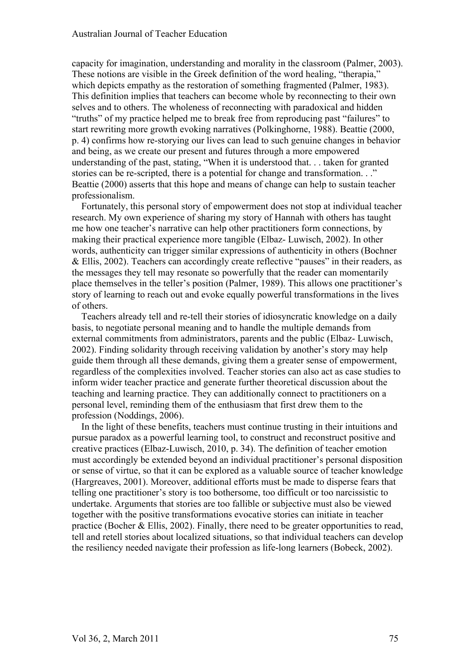capacity for imagination, understanding and morality in the classroom (Palmer, 2003). These notions are visible in the Greek definition of the word healing, "therapia," which depicts empathy as the restoration of something fragmented (Palmer, 1983). This definition implies that teachers can become whole by reconnecting to their own selves and to others. The wholeness of reconnecting with paradoxical and hidden "truths" of my practice helped me to break free from reproducing past "failures" to start rewriting more growth evoking narratives (Polkinghorne, 1988). Beattie (2000, p. 4) confirms how re-storying our lives can lead to such genuine changes in behavior and being, as we create our present and futures through a more empowered understanding of the past, stating, "When it is understood that. . . taken for granted stories can be re-scripted, there is a potential for change and transformation. . ." Beattie (2000) asserts that this hope and means of change can help to sustain teacher professionalism.

Fortunately, this personal story of empowerment does not stop at individual teacher research. My own experience of sharing my story of Hannah with others has taught me how one teacher's narrative can help other practitioners form connections, by making their practical experience more tangible (Elbaz- Luwisch, 2002). In other words, authenticity can trigger similar expressions of authenticity in others (Bochner & Ellis, 2002). Teachers can accordingly create reflective "pauses" in their readers, as the messages they tell may resonate so powerfully that the reader can momentarily place themselves in the teller's position (Palmer, 1989). This allows one practitioner's story of learning to reach out and evoke equally powerful transformations in the lives of others.

Teachers already tell and re-tell their stories of idiosyncratic knowledge on a daily basis, to negotiate personal meaning and to handle the multiple demands from external commitments from administrators, parents and the public (Elbaz- Luwisch, 2002). Finding solidarity through receiving validation by another's story may help guide them through all these demands, giving them a greater sense of empowerment, regardless of the complexities involved. Teacher stories can also act as case studies to inform wider teacher practice and generate further theoretical discussion about the teaching and learning practice. They can additionally connect to practitioners on a personal level, reminding them of the enthusiasm that first drew them to the profession (Noddings, 2006).

In the light of these benefits, teachers must continue trusting in their intuitions and pursue paradox as a powerful learning tool, to construct and reconstruct positive and creative practices (Elbaz-Luwisch, 2010, p. 34). The definition of teacher emotion must accordingly be extended beyond an individual practitioner's personal disposition or sense of virtue, so that it can be explored as a valuable source of teacher knowledge (Hargreaves, 2001). Moreover, additional efforts must be made to disperse fears that telling one practitioner's story is too bothersome, too difficult or too narcissistic to undertake. Arguments that stories are too fallible or subjective must also be viewed together with the positive transformations evocative stories can initiate in teacher practice (Bocher & Ellis, 2002). Finally, there need to be greater opportunities to read, tell and retell stories about localized situations, so that individual teachers can develop the resiliency needed navigate their profession as life-long learners (Bobeck, 2002).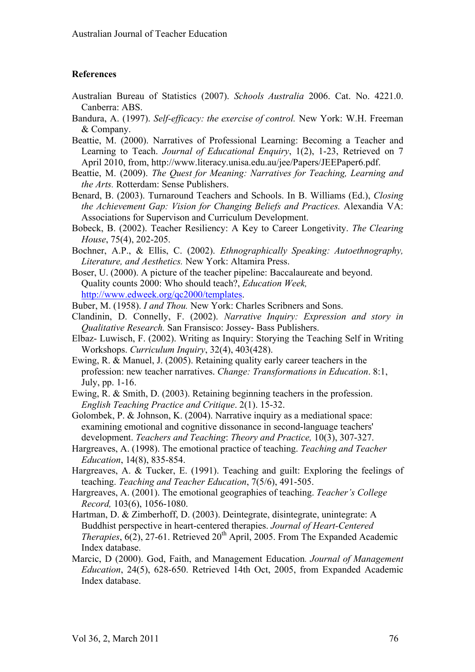#### **References**

- Australian Bureau of Statistics (2007). *Schools Australia* 2006. Cat. No. 4221.0. Canberra: ABS.
- Bandura, A. (1997). *Self-efficacy: the exercise of control.* New York: W.H. Freeman & Company.
- Beattie, M. (2000). Narratives of Professional Learning: Becoming a Teacher and Learning to Teach. *Journal of Educational Enquiry*, 1(2), 1-23, Retrieved on 7 April 2010, from, http://www.literacy.unisa.edu.au/jee/Papers/JEEPaper6.pdf.
- Beattie, M. (2009). *The Quest for Meaning: Narratives for Teaching, Learning and the Arts.* Rotterdam: Sense Publishers.
- Benard, B. (2003). Turnaround Teachers and Schools. In B. Williams (Ed.), *Closing the Achievement Gap: Vision for Changing Beliefs and Practices.* Alexandia VA: Associations for Supervison and Curriculum Development.
- Bobeck, B. (2002). Teacher Resiliency: A Key to Career Longetivity. *The Clearing House*, 75(4), 202-205.
- Bochner, A.P., & Ellis, C. (2002). *Ethnographically Speaking: Autoethnography, Literature, and Aesthetics.* New York: Altamira Press.
- Boser, U. (2000). A picture of the teacher pipeline: Baccalaureate and beyond. Quality counts 2000: Who should teach?, *Education Week,* http://www.edweek.org/qc2000/templates.
- Buber, M. (1958). *I and Thou.* New York: Charles Scribners and Sons.
- Clandinin, D. Connelly, F. (2002). *Narrative Inquiry: Expression and story in Qualitative Research.* San Fransisco: Jossey- Bass Publishers.
- Elbaz- Luwisch, F. (2002). Writing as Inquiry: Storying the Teaching Self in Writing Workshops. *Curriculum Inquiry*, 32(4), 403(428).
- Ewing, R. & Manuel, J. (2005). Retaining quality early career teachers in the profession: new teacher narratives. *Change: Transformations in Education*. 8:1, July, pp. 1-16.
- Ewing, R. & Smith, D. (2003). Retaining beginning teachers in the profession. *English Teaching Practice and Critique*. 2(1). 15-32.
- Golombek, P. & Johnson, K. (2004). Narrative inquiry as a mediational space: examining emotional and cognitive dissonance in second-language teachers' development. *Teachers and Teaching*: *Theory and Practice,* 10(3), 307-327.
- Hargreaves, A. (1998). The emotional practice of teaching. *Teaching and Teacher Education*, 14(8), 835-854.
- Hargreaves, A. & Tucker, E. (1991). Teaching and guilt: Exploring the feelings of teaching. *Teaching and Teacher Education*, 7(5/6), 491-505.
- Hargreaves, A. (2001). The emotional geographies of teaching. *Teacher's College Record,* 103(6), 1056-1080.
- Hartman, D. & Zimberhoff, D. (2003). Deintegrate, disintegrate, unintegrate: A Buddhist perspective in heart-centered therapies. *Journal of Heart-Centered Therapies*,  $6(2)$ , 27-61. Retrieved  $20<sup>th</sup>$  April, 2005. From The Expanded Academic Index database.
- Marcic, D (2000). God, Faith, and Management Education*. Journal of Management Education*, 24(5), 628-650. Retrieved 14th Oct, 2005, from Expanded Academic Index database.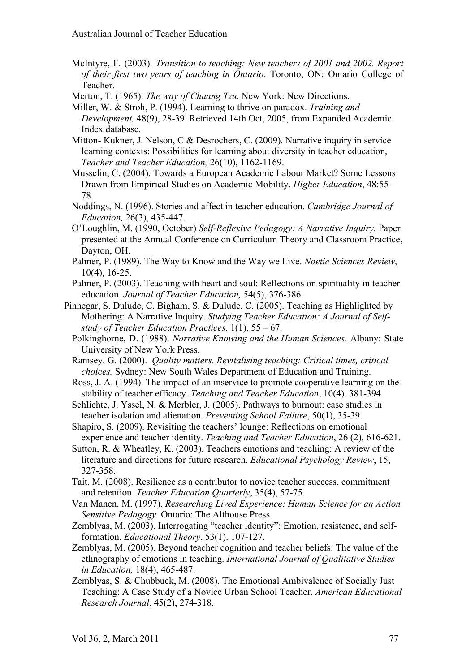- McIntyre, F. (2003). *Transition to teaching: New teachers of 2001 and 2002. Report of their first two years of teaching in Ontario*. Toronto, ON: Ontario College of Teacher.
- Merton, T. (1965). *The way of Chuang Tzu*. New York: New Directions.
- Miller, W. & Stroh, P. (1994). Learning to thrive on paradox. *Training and Development,* 48(9), 28-39. Retrieved 14th Oct, 2005, from Expanded Academic Index database.
- Mitton- Kukner, J. Nelson, C & Desrochers, C. (2009). Narrative inquiry in service learning contexts: Possibilities for learning about diversity in teacher education, *Teacher and Teacher Education,* 26(10), 1162-1169.
- Musselin, C. (2004). Towards a European Academic Labour Market? Some Lessons Drawn from Empirical Studies on Academic Mobility. *Higher Education*, 48:55- 78.
- Noddings, N. (1996). Stories and affect in teacher education. *Cambridge Journal of Education,* 26(3), 435-447.
- O'Loughlin, M. (1990, October) *Self-Reflexive Pedagogy: A Narrative Inquiry.* Paper presented at the Annual Conference on Curriculum Theory and Classroom Practice, Dayton, OH.
- Palmer, P. (1989). The Way to Know and the Way we Live. *Noetic Sciences Review*, 10(4), 16-25.
- Palmer, P. (2003). Teaching with heart and soul: Reflections on spirituality in teacher education. *Journal of Teacher Education,* 54(5), 376-386.
- Pinnegar, S. Dulude, C. Bigham, S. & Dulude, C. (2005). Teaching as Highlighted by Mothering: A Narrative Inquiry. *Studying Teacher Education: A Journal of Selfstudy of Teacher Education Practices,* 1(1), 55 – 67.
	- Polkinghorne, D. (1988). *Narrative Knowing and the Human Sciences.* Albany: State University of New York Press.
	- Ramsey, G. (2000). *Quality matters. Revitalising teaching: Critical times, critical choices.* Sydney: New South Wales Department of Education and Training.
	- Ross, J. A. (1994). The impact of an inservice to promote cooperative learning on the stability of teacher efficacy. *Teaching and Teacher Education*, 10(4). 381-394.
	- Schlichte, J. Yssel, N. & Merbler, J. (2005). Pathways to burnout: case studies in teacher isolation and alienation. *Preventing School Failure*, 50(1), 35-39.
	- Shapiro, S. (2009). Revisiting the teachers' lounge: Reflections on emotional experience and teacher identity. *Teaching and Teacher Education*, 26 (2), 616-621.
	- Sutton, R. & Wheatley, K. (2003). Teachers emotions and teaching: A review of the literature and directions for future research. *Educational Psychology Review*, 15, 327-358.
	- Tait, M. (2008). Resilience as a contributor to novice teacher success, commitment and retention. *Teacher Education Quarterly*, 35(4), 57-75.
	- Van Manen. M. (1997). *Researching Lived Experience: Human Science for an Action Sensitive Pedagogy.* Ontario: The Althouse Press.
	- Zemblyas, M. (2003). Interrogating "teacher identity": Emotion, resistence, and selfformation. *Educational Theory*, 53(1). 107-127.
	- Zemblyas, M. (2005). Beyond teacher cognition and teacher beliefs: The value of the ethnography of emotions in teaching. *International Journal of Qualitative Studies in Education,* 18(4), 465-487.
	- Zemblyas, S. & Chubbuck, M. (2008). The Emotional Ambivalence of Socially Just Teaching: A Case Study of a Novice Urban School Teacher. *American Educational Research Journal*, 45(2), 274-318.